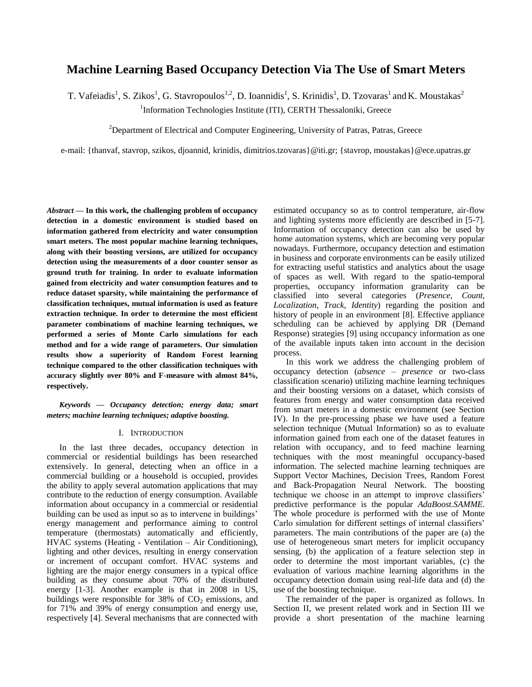# **Machine Learning Based Occupancy Detection Via The Use of Smart Meters**

T. Vafeiadis<sup>1</sup>, S. Zikos<sup>1</sup>, G. Stavropoulos<sup>1,2</sup>, D. Ioannidis<sup>1</sup>, S. Krinidis<sup>1</sup>, D. Tzovaras<sup>1</sup> and K. Moustakas<sup>2</sup>

<sup>1</sup>Information Technologies Institute (ITI), CERTH Thessaloniki, Greece

<sup>2</sup>Department of Electrical and Computer Engineering, University of Patras, Patras, Greece

e-mail: {thanvaf, stavrop, szikos, djoannid, krinidis, dimitrios.tzovaras}@iti.gr; {stavrop, moustakas}@ece.upatras.gr

*Abstract* **— In this work, the challenging problem of occupancy detection in a domestic environment is studied based on information gathered from electricity and water consumption smart meters. The most popular machine learning techniques, along with their boosting versions, are utilized for occupancy detection using the measurements of a door counter sensor as ground truth for training. In order to evaluate information gained from electricity and water consumption features and to reduce dataset sparsity, while maintaining the performance of classification techniques, mutual information is used as feature extraction technique. In order to determine the most efficient parameter combinations of machine learning techniques, we performed a series of Monte Carlo simulations for each method and for a wide range of parameters. Our simulation results show a superiority of Random Forest learning technique compared to the other classification techniques with accuracy slightly over 80% and F-measure with almost 84%, respectively.**

*Keywords — Occupancy detection; energy data; smart meters; machine learning techniques; adaptive boosting.*

# I. INTRODUCTION

In the last three decades, occupancy detection in commercial or residential buildings has been researched extensively. In general, detecting when an office in a commercial building or a household is occupied, provides the ability to apply several automation applications that may contribute to the reduction of energy consumption. Available information about occupancy in a commercial or residential building can be used as input so as to intervene in buildings' energy management and performance aiming to control temperature (thermostats) automatically and efficiently, HVAC systems (Heating - Ventilation – Air Conditioning), lighting and other devices, resulting in energy conservation or increment of occupant comfort. HVAC systems and lighting are the major energy consumers in a typical office building as they consume about 70% of the distributed energy [1-3]. Another example is that in 2008 in US, buildings were responsible for  $38\%$  of  $CO<sub>2</sub>$  emissions, and for 71% and 39% of energy consumption and energy use, respectively [4]. Several mechanisms that are connected with

estimated occupancy so as to control temperature, air-flow and lighting systems more efficiently are described in [5-7]. Information of occupancy detection can also be used by home automation systems, which are becoming very popular nowadays. Furthermore, occupancy detection and estimation in business and corporate environments can be easily utilized for extracting useful statistics and analytics about the usage of spaces as well. With regard to the spatio-temporal properties, occupancy information granularity can be classified into several categories (*Presence*, *Count*, *Localization*, *Track*, *Identity*) regarding the position and history of people in an environment [8]. Effective appliance scheduling can be achieved by applying DR (Demand Response) strategies [9] using occupancy information as one of the available inputs taken into account in the decision process.

In this work we address the challenging problem of occupancy detection (*absence* – *presence* or two-class classification scenario) utilizing machine learning techniques and their boosting versions on a dataset, which consists of features from energy and water consumption data received from smart meters in a domestic environment (see Section IV). In the pre-processing phase we have used a feature selection technique (Mutual Information) so as to evaluate information gained from each one of the dataset features in relation with occupancy, and to feed machine learning techniques with the most meaningful occupancy-based information. The selected machine learning techniques are Support Vector Machines, Decision Trees, Random Forest and Back-Propagation Neural Network. The boosting technique we choose in an attempt to improve classifiers' predictive performance is the popular *AdaBoost.SAMME*. The whole procedure is performed with the use of Monte Carlo simulation for different settings of internal classifiers' parameters. The main contributions of the paper are (a) the use of heterogeneous smart meters for implicit occupancy sensing, (b) the application of a feature selection step in order to determine the most important variables, (c) the evaluation of various machine learning algorithms in the occupancy detection domain using real-life data and (d) the use of the boosting technique.

The remainder of the paper is organized as follows. In Section II, we present related work and in Section III we provide a short presentation of the machine learning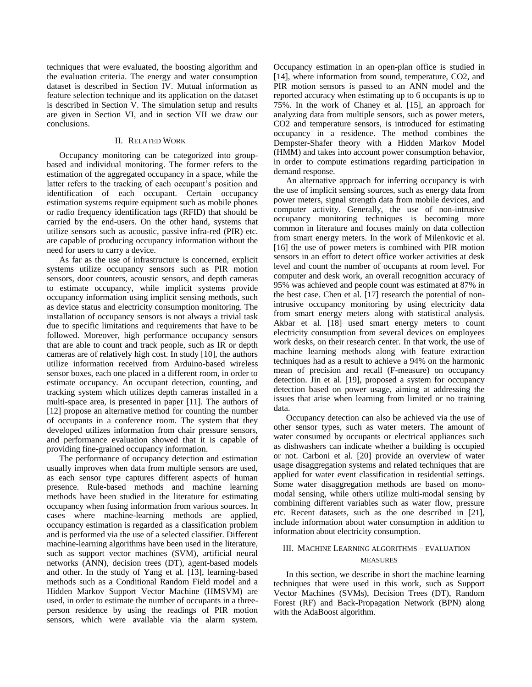techniques that were evaluated, the boosting algorithm and the evaluation criteria. The energy and water consumption dataset is described in Section IV. Mutual information as feature selection technique and its application on the dataset is described in Section V. The simulation setup and results are given in Section VI, and in section VII we draw our conclusions.

# II. RELATED WORK

Occupancy monitoring can be categorized into groupbased and individual monitoring. The former refers to the estimation of the aggregated occupancy in a space, while the latter refers to the tracking of each occupant's position and identification of each occupant. Certain occupancy estimation systems require equipment such as mobile phones or radio frequency identification tags (RFID) that should be carried by the end-users. On the other hand, systems that utilize sensors such as acoustic, passive infra-red (PIR) etc. are capable of producing occupancy information without the need for users to carry a device.

As far as the use of infrastructure is concerned, explicit systems utilize occupancy sensors such as PIR motion sensors, door counters, acoustic sensors, and depth cameras to estimate occupancy, while implicit systems provide occupancy information using implicit sensing methods, such as device status and electricity consumption monitoring. The installation of occupancy sensors is not always a trivial task due to specific limitations and requirements that have to be followed. Moreover, high performance occupancy sensors that are able to count and track people, such as IR or depth cameras are of relatively high cost. In study [10], the authors utilize information received from Arduino-based wireless sensor boxes, each one placed in a different room, in order to estimate occupancy. An occupant detection, counting, and tracking system which utilizes depth cameras installed in a multi-space area, is presented in paper [11]. The authors of [12] propose an alternative method for counting the number of occupants in a conference room. The system that they developed utilizes information from chair pressure sensors, and performance evaluation showed that it is capable of providing fine-grained occupancy information.

The performance of occupancy detection and estimation usually improves when data from multiple sensors are used, as each sensor type captures different aspects of human presence. Rule-based methods and machine learning methods have been studied in the literature for estimating occupancy when fusing information from various sources. In cases where machine-learning methods are applied, occupancy estimation is regarded as a classification problem and is performed via the use of a selected classifier. Different machine-learning algorithms have been used in the literature, such as support vector machines (SVM), artificial neural networks (ANN), decision trees (DT), agent-based models and other. In the study of Yang et al. [13], learning-based methods such as a Conditional Random Field model and a Hidden Markov Support Vector Machine (HMSVM) are used, in order to estimate the number of occupants in a threeperson residence by using the readings of PIR motion sensors, which were available via the alarm system. Occupancy estimation in an open-plan office is studied in [14], where information from sound, temperature, CO2, and PIR motion sensors is passed to an ANN model and the reported accuracy when estimating up to 6 occupants is up to 75%. In the work of Chaney et al. [15], an approach for analyzing data from multiple sensors, such as power meters, CO2 and temperature sensors, is introduced for estimating occupancy in a residence. The method combines the Dempster-Shafer theory with a Hidden Markov Model (HMM) and takes into account power consumption behavior, in order to compute estimations regarding participation in demand response.

An alternative approach for inferring occupancy is with the use of implicit sensing sources, such as energy data from power meters, signal strength data from mobile devices, and computer activity. Generally, the use of non-intrusive occupancy monitoring techniques is becoming more common in literature and focuses mainly on data collection from smart energy meters. In the work of Milenkovic et al. [16] the use of power meters is combined with PIR motion sensors in an effort to detect office worker activities at desk level and count the number of occupants at room level. For computer and desk work, an overall recognition accuracy of 95% was achieved and people count was estimated at 87% in the best case. Chen et al. [17] research the potential of nonintrusive occupancy monitoring by using electricity data from smart energy meters along with statistical analysis. Akbar et al. [18] used smart energy meters to count electricity consumption from several devices on employees work desks, on their research center. In that work, the use of machine learning methods along with feature extraction techniques had as a result to achieve a 94% on the harmonic mean of precision and recall (F-measure) on occupancy detection. Jin et al. [19], proposed a system for occupancy detection based on power usage, aiming at addressing the issues that arise when learning from limited or no training data.

Occupancy detection can also be achieved via the use of other sensor types, such as water meters. The amount of water consumed by occupants or electrical appliances such as dishwashers can indicate whether a building is occupied or not. Carboni et al. [20] provide an overview of water usage disaggregation systems and related techniques that are applied for water event classification in residential settings. Some water disaggregation methods are based on monomodal sensing, while others utilize multi-modal sensing by combining different variables such as water flow, pressure etc. Recent datasets, such as the one described in [21], include information about water consumption in addition to information about electricity consumption.

# III. MACHINE LEARNING ALGORITHMS – EVALUATION

# MEASURES

In this section, we describe in short the machine learning techniques that were used in this work, such as Support Vector Machines (SVMs), Decision Trees (DT), Random Forest (RF) and Back-Propagation Network (BPN) along with the AdaBoost algorithm.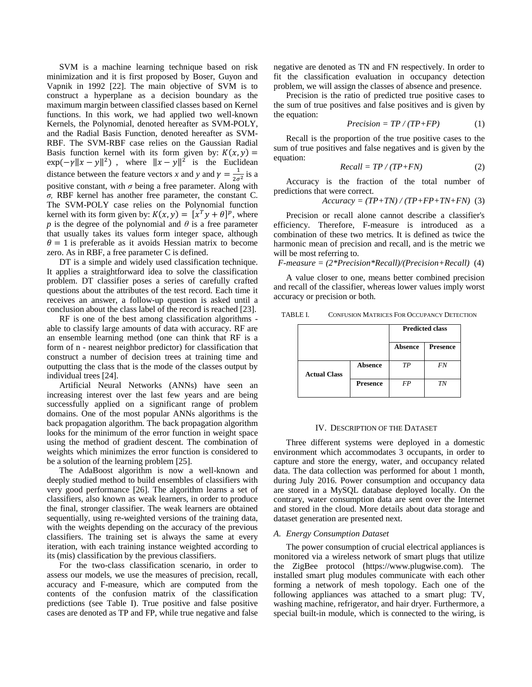SVM is a machine learning technique based on risk minimization and it is first proposed by Boser, Guyon and Vapnik in 1992 [22]. The main objective of SVM is to construct a hyperplane as a decision boundary as the maximum margin between classified classes based on Kernel functions. In this work, we had applied two well-known Kernels, the Polynomial, denoted hereafter as SVM-POLY, and the Radial Basis Function, denoted hereafter as SVM-RBF. The SVM-RBF case relies on the Gaussian Radial Basis function kernel with its form given by:  $K(x, y) =$  $\exp(-\gamma ||x - y||^2)$ , where  $||x - y||^2$  is the Euclidean distance between the feature vectors *x* and *y* and  $\gamma = \frac{1}{2}$  $\frac{1}{2\sigma^2}$  is a positive constant, with  $\sigma$  being a free parameter. Along with *σ,* RBF kernel has another free parameter, the constant C. The SVM-POLY case relies on the Polynomial function kernel with its form given by:  $K(x, y) = [x^T y + \theta]^p$ , where *p* is the degree of the polynomial and  $\theta$  is a free parameter that usually takes its values form integer space, although  $\theta = 1$  is preferable as it avoids Hessian matrix to become zero. As in RBF, a free parameter C is defined.

DT is a simple and widely used classification technique. It applies a straightforward idea to solve the classification problem. DT classifier poses a series of carefully crafted questions about the attributes of the test record. Each time it receives an answer, a follow-up question is asked until a conclusion about the class label of the record is reached [23].

RF is one of the best among classification algorithms able to classify large amounts of data with accuracy. RF are an ensemble learning method (one can think that RF is a form of n - nearest neighbor predictor) for classification that construct a number of decision trees at training time and outputting the class that is the mode of the classes output by individual trees [24].

Artificial Neural Networks (ANNs) have seen an increasing interest over the last few years and are being successfully applied on a significant range of problem domains. One of the most popular ANNs algorithms is the back propagation algorithm. The back propagation algorithm looks for the minimum of the error function in weight space using the method of gradient descent. The combination of weights which minimizes the error function is considered to be a solution of the learning problem [25].

The AdaBoost algorithm is now a well-known and deeply studied method to build ensembles of classifiers with very good performance [26]. The algorithm learns a set of classifiers, also known as weak learners, in order to produce the final, stronger classifier. The weak learners are obtained sequentially, using re-weighted versions of the training data, with the weights depending on the accuracy of the previous classifiers. The training set is always the same at every iteration, with each training instance weighted according to its (mis) classification by the previous classifiers.

For the two-class classification scenario, in order to assess our models, we use the measures of precision, recall, accuracy and F-measure, which are computed from the contents of the confusion matrix of the classification predictions (see Table I). True positive and false positive cases are denoted as TP and FP, while true negative and false negative are denoted as TN and FN respectively. In order to fit the classification evaluation in occupancy detection problem, we will assign the classes of absence and presence.

Precision is the ratio of predicted true positive cases to the sum of true positives and false positives and is given by the equation:

$$
Precision = TP / (TP + FP)
$$
 (1)

Recall is the proportion of the true positive cases to the sum of true positives and false negatives and is given by the equation:

$$
Recall = TP / (TP + FN)
$$
 (2)

Accuracy is the fraction of the total number of predictions that were correct.

$$
Accuracy = (TP+TN)/(TP+FP+TN+FN)
$$
 (3)

Precision or recall alone cannot describe a classifier's efficiency. Therefore, F-measure is introduced as a combination of these two metrics. It is defined as twice the harmonic mean of precision and recall, and is the metric we will be most referring to.

 *F-measure = (2\*Precision\*Recall)/(Precision+Recall)* (4)

A value closer to one, means better combined precision and recall of the classifier, whereas lower values imply worst accuracy or precision or both.

TABLE I. CONFUSION MATRICES FOR OCCUPANCY DETECTION

|                     |                 | <b>Predicted class</b> |                 |  |
|---------------------|-----------------|------------------------|-----------------|--|
|                     |                 | <b>Absence</b>         | <b>Presence</b> |  |
| <b>Actual Class</b> | <b>Absence</b>  | TР                     | FN              |  |
|                     | <b>Presence</b> | FP                     | ΤN              |  |

#### IV. DESCRIPTION OF THE DATASET

Three different systems were deployed in a domestic environment which accommodates 3 occupants, in order to capture and store the energy, water, and occupancy related data. The data collection was performed for about 1 month, during July 2016. Power consumption and occupancy data are stored in a MySQL database deployed locally. On the contrary, water consumption data are sent over the Internet and stored in the cloud. More details about data storage and dataset generation are presented next.

#### *A. Energy Consumption Dataset*

The power consumption of crucial electrical appliances is monitored via a wireless network of smart plugs that utilize the ZigBee protocol (https://www.plugwise.com). The installed smart plug modules communicate with each other forming a network of mesh topology. Each one of the following appliances was attached to a smart plug: TV, washing machine, refrigerator, and hair dryer. Furthermore, a special built-in module, which is connected to the wiring, is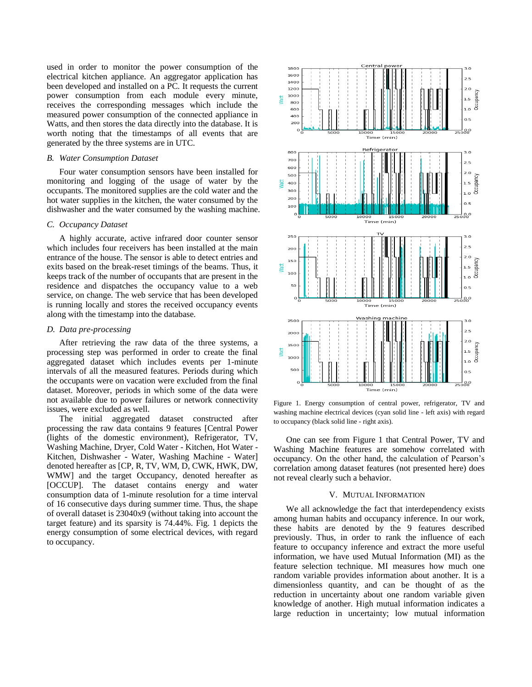used in order to monitor the power consumption of the electrical kitchen appliance. An aggregator application has been developed and installed on a PC. It requests the current power consumption from each module every minute, receives the corresponding messages which include the measured power consumption of the connected appliance in Watts, and then stores the data directly into the database. It is worth noting that the timestamps of all events that are generated by the three systems are in UTC.

# *B. Water Consumption Dataset*

Four water consumption sensors have been installed for monitoring and logging of the usage of water by the occupants. The monitored supplies are the cold water and the hot water supplies in the kitchen, the water consumed by the dishwasher and the water consumed by the washing machine.

# *C. Occupancy Dataset*

A highly accurate, active infrared door counter sensor which includes four receivers has been installed at the main entrance of the house. The sensor is able to detect entries and exits based on the break-reset timings of the beams. Thus, it keeps track of the number of occupants that are present in the residence and dispatches the occupancy value to a web service, on change. The web service that has been developed is running locally and stores the received occupancy events along with the timestamp into the database.

#### *D. Data pre-processing*

After retrieving the raw data of the three systems, a processing step was performed in order to create the final aggregated dataset which includes events per 1-minute intervals of all the measured features. Periods during which the occupants were on vacation were excluded from the final dataset. Moreover, periods in which some of the data were not available due to power failures or network connectivity issues, were excluded as well.

The initial aggregated dataset constructed after processing the raw data contains 9 features [Central Power (lights of the domestic environment), Refrigerator, TV, Washing Machine, Dryer, Cold Water - Kitchen, Hot Water - Kitchen, Dishwasher - Water, Washing Machine - Water] denoted hereafter as [CP, R, TV, WM, D, CWK, HWK, DW, WMW] and the target Occupancy, denoted hereafter as [OCCUP]. The dataset contains energy and water consumption data of 1-minute resolution for a time interval of 16 consecutive days during summer time. Thus, the shape of overall dataset is 23040x9 (without taking into account the target feature) and its sparsity is 74.44%. Fig. 1 depicts the energy consumption of some electrical devices, with regard to occupancy.



Figure 1. Energy consumption of central power, refrigerator, TV and washing machine electrical devices (cyan solid line - left axis) with regard to occupancy (black solid line - right axis).

One can see from Figure 1 that Central Power, TV and Washing Machine features are somehow correlated with occupancy. On the other hand, the calculation of Pearson's correlation among dataset features (not presented here) does not reveal clearly such a behavior.

#### V. MUTUAL INFORMATION

We all acknowledge the fact that interdependency exists among human habits and occupancy inference. In our work, these habits are denoted by the 9 features described previously. Thus, in order to rank the influence of each feature to occupancy inference and extract the more useful information, we have used Mutual Information (MI) as the feature selection technique. MI measures how much one random variable provides information about another. It is a dimensionless quantity, and can be thought of as the reduction in uncertainty about one random variable given knowledge of another. High mutual information indicates a large reduction in uncertainty; low mutual information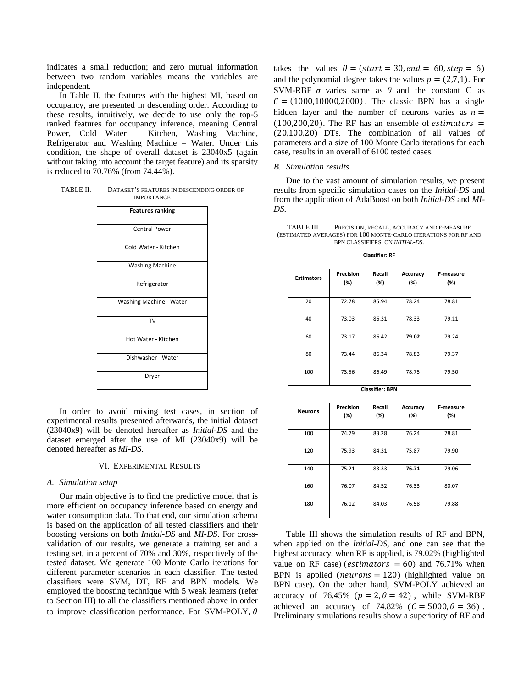indicates a small reduction; and zero mutual information between two random variables means the variables are independent.

In Table II, the features with the highest MI, based on occupancy, are presented in descending order. According to these results, intuitively, we decide to use only the top-5 ranked features for occupancy inference, meaning Central Power, Cold Water – Kitchen, Washing Machine, Refrigerator and Washing Machine – Water. Under this condition, the shape of overall dataset is 23040x5 (again without taking into account the target feature) and its sparsity is reduced to 70.76% (from 74.44%).

TABLE II. DATASET'S FEATURES IN DESCENDING ORDER OF IMPORTANCE



In order to avoid mixing test cases, in section of experimental results presented afterwards, the initial dataset (23040x9) will be denoted hereafter as *Initial-DS* and the dataset emerged after the use of MI (23040x9) will be denoted hereafter as *MI-DS.*

## VI. EXPERIMENTAL RESULTS

#### *A. Simulation setup*

Our main objective is to find the predictive model that is more efficient on occupancy inference based on energy and water consumption data. To that end, our simulation schema is based on the application of all tested classifiers and their boosting versions on both *Initial-DS* and *MI-DS*. For crossvalidation of our results, we generate a training set and a testing set, in a percent of 70% and 30%, respectively of the tested dataset. We generate 100 Monte Carlo iterations for different parameter scenarios in each classifier. The tested classifiers were SVM, DT, RF and BPN models. We employed the boosting technique with 5 weak learners (refer to Section III) to all the classifiers mentioned above in order to improve classification performance. For SVM-POLY,  $\theta$  takes the values  $\theta = (start = 30, end = 60, step = 6)$ and the polynomial degree takes the values  $p = (2,7,1)$ . For SVM-RBF  $\sigma$  varies same as  $\theta$  and the constant C as  $C = (1000, 10000, 2000)$ . The classic BPN has a single hidden layer and the number of neurons varies as  $n =$  $(100,200,20)$ . The RF has an ensemble of *estimators* = (20,100,20) DTs. The combination of all values of parameters and a size of 100 Monte Carlo iterations for each case, results in an overall of 6100 tested cases.

# *B. Simulation results*

Due to the vast amount of simulation results, we present results from specific simulation cases on the *Initial-DS* and from the application of AdaBoost on both *Initial-DS* and *MI-DS*.

| <b>Classifier: RF</b> |                        |               |                 |                     |  |  |  |
|-----------------------|------------------------|---------------|-----------------|---------------------|--|--|--|
| <b>Estimators</b>     | Precision<br>(%)       | Recall<br>(%) | Accuracy<br>(%) | F-measure<br>$(\%)$ |  |  |  |
| 20                    | 72.78                  | 85.94         | 78.24           | 78.81               |  |  |  |
| 40                    | 73.03                  | 86.31         | 78.33           | 79.11               |  |  |  |
| 60                    | 73.17                  | 86.42         | 79.02           | 79.24               |  |  |  |
| 80                    | 73.44                  | 86.34         | 78.83           | 79.37               |  |  |  |
| 100                   | 73.56                  | 86.49         | 78.75           | 79.50               |  |  |  |
|                       | <b>Classifier: BPN</b> |               |                 |                     |  |  |  |
|                       | Precision              | Recall        | Accuracy        | F-measure           |  |  |  |
| <b>Neurons</b>        | (%)                    | (%)           | (%)             | $(\%)$              |  |  |  |
| 100                   | 74.79                  | 83.28         | 76.24           | 78.81               |  |  |  |
| 120                   | 75.93                  | 84.31         | 75.87           | 79.90               |  |  |  |
| 140                   | 75.21                  | 83.33         | 76.71           | 79.06               |  |  |  |
| 160                   | 76.07                  | 84.52         | 76.33           | 80.07               |  |  |  |
| 180                   | 76.12                  | 84.03         | 76.58           | 79.88               |  |  |  |

TABLE III. PRECISION, RECALL, ACCURACY AND F-MEASURE (ESTIMATED AVERAGES) FOR 100 MONTE-CARLO ITERATIONS FOR RF AND BPN CLASSIFIERS, ON *INITIAL-DS*.

Table III shows the simulation results of RF and BPN, when applied on the *Initial-DS,* and one can see that the highest accuracy, when RF is applied, is 79.02% (highlighted value on RF case) (*estimators* = 60) and 76.71% when BPN is applied (*neurons* = 120) (highlighted value on BPN case). On the other hand, SVM-POLY achieved an accuracy of 76.45% ( $p = 2, \theta = 42$ ), while SVM-RBF achieved an accuracy of 74.82% ( $C = 5000, \theta = 36$ ). Preliminary simulations results show a superiority of RF and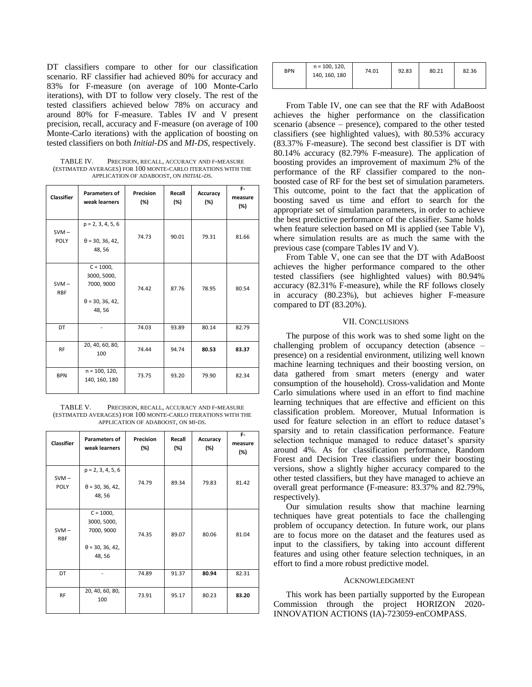DT classifiers compare to other for our classification scenario. RF classifier had achieved 80% for accuracy and 83% for F-measure (on average of 100 Monte-Carlo iterations), with DT to follow very closely. The rest of the tested classifiers achieved below 78% on accuracy and around 80% for F-measure. Tables IV and V present precision, recall, accuracy and F-measure (on average of 100 Monte-Carlo iterations) with the application of boosting on tested classifiers on both *Initial-DS* and *MI-DS*, respectively.

TABLE IV. PRECISION, RECALL, ACCURACY AND F-MEASURE (ESTIMATED AVERAGES) FOR 100 MONTE-CARLO ITERATIONS WITH THE APPLICATION OF ADABOOST, ON *INITIAL-DS*.

| <b>Classifier</b>     | Parameters of<br>weak learners                                              | Precision<br>$(\%)$ | Recall<br>(%) | Accuracy<br>(%) | F-<br>measure<br>(%) |
|-----------------------|-----------------------------------------------------------------------------|---------------------|---------------|-----------------|----------------------|
| $SVM -$<br>POLY       | $p = 2, 3, 4, 5, 6$<br>$\theta$ = 30, 36, 42,<br>48,56                      | 74.73               | 90.01         | 79.31           | 81.66                |
| $SVM -$<br><b>RBF</b> | $C = 1000,$<br>3000, 5000,<br>7000, 9000<br>$\theta$ = 30, 36, 42,<br>48,56 | 74.42               | 87.76         | 78.95           | 80.54                |
| DT                    |                                                                             | 74.03               | 93.89         | 80.14           | 82.79                |
| <b>RF</b>             | 20, 40, 60, 80,<br>100                                                      | 74.44               | 94.74         | 80.53           | 83.37                |
| <b>BPN</b>            | $n = 100, 120,$<br>140, 160, 180                                            | 73.75               | 93.20         | 79.90           | 82.34                |

TABLE V. PRECISION, RECALL, ACCURACY AND F-MEASURE (ESTIMATED AVERAGES) FOR 100 MONTE-CARLO ITERATIONS WITH THE APPLICATION OF ADABOOST, ON *MI-DS*.

| <b>Classifier</b>     | Parameters of<br>weak learners                                              | Precision<br>(%) | Recall<br>(%) | Accuracy<br>(%) | F-<br>measure<br>(%) |
|-----------------------|-----------------------------------------------------------------------------|------------------|---------------|-----------------|----------------------|
| $SVM -$<br>POLY       | $p = 2, 3, 4, 5, 6$<br>$\theta$ = 30, 36, 42,<br>48,56                      | 74.79            | 89.34         | 79.83           | 81.42                |
| $SVM -$<br><b>RBF</b> | $C = 1000,$<br>3000, 5000,<br>7000, 9000<br>$\theta$ = 30, 36, 42,<br>48,56 | 74.35            | 89.07         | 80.06           | 81.04                |
| DT                    |                                                                             | 74.89            | 91.37         | 80.94           | 82.31                |
| <b>RF</b>             | 20, 40, 60, 80,<br>100                                                      | 73.91            | 95.17         | 80.23           | 83.20                |

| <b>BPN</b> | $n = 100, 120,$<br>140, 160, 180 | 74.01 | 92.83 | 80.21 | 82.36 |
|------------|----------------------------------|-------|-------|-------|-------|
|            |                                  |       |       |       |       |

From Table IV, one can see that the RF with AdaBoost achieves the higher performance on the classification scenario (absence – presence), compared to the other tested classifiers (see highlighted values), with 80.53% accuracy (83.37% F-measure). The second best classifier is DT with 80.14% accuracy (82.79% F-measure). The application of boosting provides an improvement of maximum 2% of the performance of the RF classifier compared to the nonboosted case of RF for the best set of simulation parameters. This outcome, point to the fact that the application of boosting saved us time and effort to search for the appropriate set of simulation parameters, in order to achieve the best predictive performance of the classifier. Same holds when feature selection based on MI is applied (see Table V), where simulation results are as much the same with the previous case (compare Tables IV and V).

From Table V, one can see that the DT with AdaBoost achieves the higher performance compared to the other tested classifiers (see highlighted values) with 80.94% accuracy (82.31% F-measure), while the RF follows closely in accuracy (80.23%), but achieves higher F-measure compared to DT (83.20%).

## VII. CONCLUSIONS

The purpose of this work was to shed some light on the challenging problem of occupancy detection (absence – presence) on a residential environment, utilizing well known machine learning techniques and their boosting version, on data gathered from smart meters (energy and water consumption of the household). Cross-validation and Monte Carlo simulations where used in an effort to find machine learning techniques that are effective and efficient on this classification problem. Moreover, Mutual Information is used for feature selection in an effort to reduce dataset's sparsity and to retain classification performance. Feature selection technique managed to reduce dataset's sparsity around 4%. As for classification performance, Random Forest and Decision Tree classifiers under their boosting versions, show a slightly higher accuracy compared to the other tested classifiers, but they have managed to achieve an overall great performance (F-measure: 83.37% and 82.79%, respectively).

Our simulation results show that machine learning techniques have great potentials to face the challenging problem of occupancy detection. In future work, our plans are to focus more on the dataset and the features used as input to the classifiers, by taking into account different features and using other feature selection techniques, in an effort to find a more robust predictive model.

# ACKNOWLEDGMENT

This work has been partially supported by the European Commission through the project HORIZON 2020- INNOVATION ACTIONS (IA)-723059-enCOMPASS.